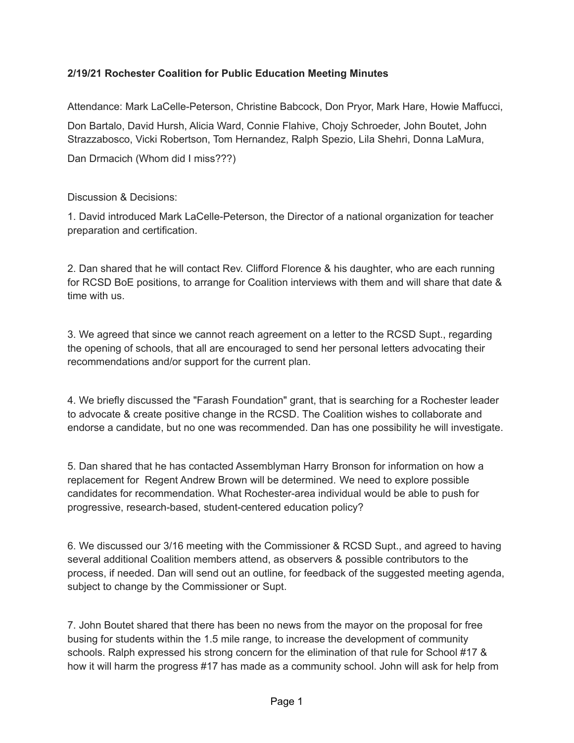## **2/19/21 Rochester Coalition for Public Education Meeting Minutes**

Attendance: Mark LaCelle-Peterson, Christine Babcock, Don Pryor, Mark Hare, Howie Maffucci,

Don Bartalo, David Hursh, Alicia Ward, Connie Flahive, Chojy Schroeder, John Boutet, John Strazzabosco, Vicki Robertson, Tom Hernandez, Ralph Spezio, Lila Shehri, Donna LaMura,

Dan Drmacich (Whom did I miss???)

## Discussion & Decisions:

1. David introduced Mark LaCelle-Peterson, the Director of a national organization for teacher preparation and certification.

2. Dan shared that he will contact Rev. Clifford Florence & his daughter, who are each running for RCSD BoE positions, to arrange for Coalition interviews with them and will share that date & time with us.

3. We agreed that since we cannot reach agreement on a letter to the RCSD Supt., regarding the opening of schools, that all are encouraged to send her personal letters advocating their recommendations and/or support for the current plan.

4. We briefly discussed the "Farash Foundation" grant, that is searching for a Rochester leader to advocate & create positive change in the RCSD. The Coalition wishes to collaborate and endorse a candidate, but no one was recommended. Dan has one possibility he will investigate.

5. Dan shared that he has contacted Assemblyman Harry Bronson for information on how a replacement for Regent Andrew Brown will be determined. We need to explore possible candidates for recommendation. What Rochester-area individual would be able to push for progressive, research-based, student-centered education policy?

6. We discussed our 3/16 meeting with the Commissioner & RCSD Supt., and agreed to having several additional Coalition members attend, as observers & possible contributors to the process, if needed. Dan will send out an outline, for feedback of the suggested meeting agenda, subject to change by the Commissioner or Supt.

7. John Boutet shared that there has been no news from the mayor on the proposal for free busing for students within the 1.5 mile range, to increase the development of community schools. Ralph expressed his strong concern for the elimination of that rule for School #17 & how it will harm the progress #17 has made as a community school. John will ask for help from